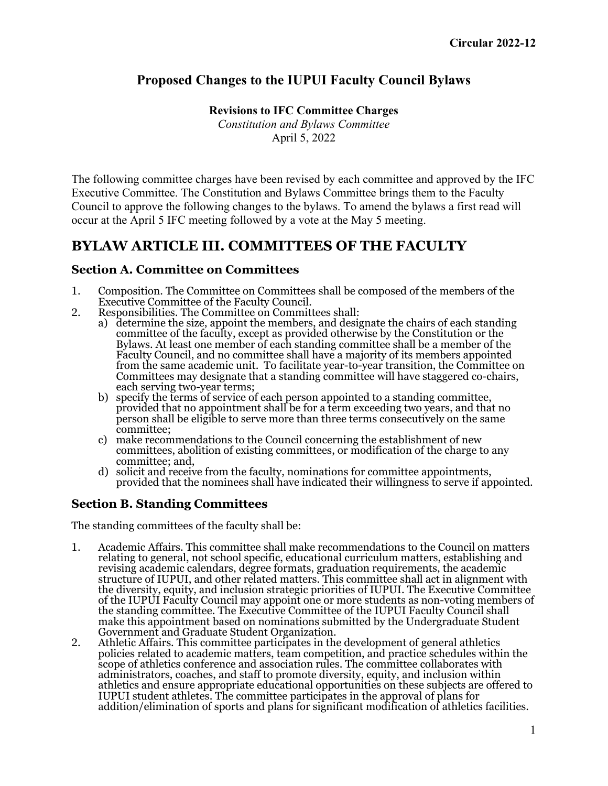## **Proposed Changes to the IUPUI Faculty Council Bylaws**

**Revisions to IFC Committee Charges**

*Constitution and Bylaws Committee* April 5, 2022

The following committee charges have been revised by each committee and approved by the IFC Executive Committee. The Constitution and Bylaws Committee brings them to the Faculty Council to approve the following changes to the bylaws. To amend the bylaws a first read will occur at the April 5 IFC meeting followed by a vote at the May 5 meeting.

## **BYLAW ARTICLE III. COMMITTEES OF THE FACULTY**

## **Section A. Committee on Committees**

- 1. Composition. The Committee on Committees shall be composed of the members of the Executive Committee of the Faculty Council.
- 2. Responsibilities. The Committee on Committees shall:
	- a) determine the size, appoint the members, and designate the chairs of each standing committee of the faculty, except as provided otherwise by the Constitution or the Bylaws. At least one member of each standing committee shall be a member of the Faculty Council, and no committee shall have a majority of its members appointed from the same academic unit. To facilitate year-to-year transition, the Committee on Committees may designate that a standing committee will have staggered co-chairs, each serving two-year terms;
	- b) specify the terms of service of each person appointed to a standing committee, provided that no appointment shall be for a term exceeding two years, and that no person shall be eligible to serve more than three terms consecutively on the same committee;
	- c) make recommendations to the Council concerning the establishment of new committees, abolition of existing committees, or modification of the charge to any committee; and,
	- d) solicit and receive from the faculty, nominations for committee appointments, provided that the nominees shall have indicated their willingness to serve if appointed.

## **Section B. Standing Committees**

The standing committees of the faculty shall be:

- 1. Academic Affairs. This committee shall make recommendations to the Council on matters relating to general, not school specific, educational curriculum matters, establishing and revising academic calendars, degree formats, graduation requirements, the academic structure of IUPUI, and other related matters. This committee shall act in alignment with the diversity, equity, and inclusion strategic priorities of IUPUI. The Executive Committee of the IUPUI Faculty Council may appoint one or more students as non-voting members of the standing committee. The Executive Committee of the IUPUI Faculty Council shall make this appointment based on nominations submitted by the Undergraduate Student Government and Graduate Student Organization.
- 2. Athletic Affairs. This committee participates in the development of general athletics policies related to academic matters, team competition, and practice schedules within the scope of athletics conference and association rules. The committee collaborates with administrators, coaches, and staff to promote diversity, equity, and inclusion within athletics and ensure appropriate educational opportunities on these subjects are offered to IUPUI student athletes. The committee participates in the approval of plans for addition/elimination of sports and plans for significant modification of athletics facilities.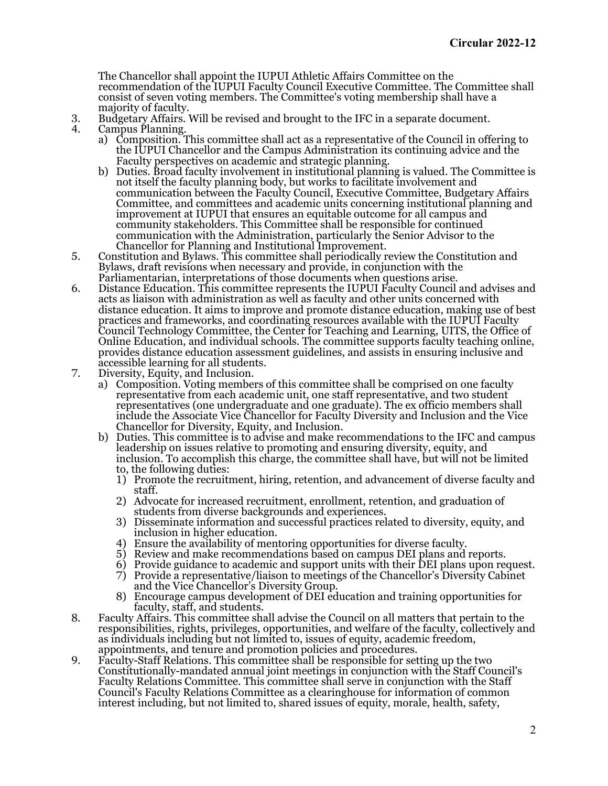The Chancellor shall appoint the IUPUI Athletic Affairs Committee on the recommendation of the IUPUI Faculty Council Executive Committee. The Committee shall consist of seven voting members. The Committee's voting membership shall have a majority of faculty.

- 3. Budgetary Affairs. Will be revised and brought to the IFC in a separate document. Campus Planning.
	- a) Composition. This committee shall act as a representative of the Council in offering to the IUPUI Chancellor and the Campus Administration its continuing advice and the Faculty perspectives on academic and strategic planning.
	- b) Duties. Broad faculty involvement in institutional planning is valued. The Committee is not itself the faculty planning body, but works to facilitate involvement and communication between the Faculty Council, Executive Committee, Budgetary Affairs Committee, and committees and academic units concerning institutional planning and improvement at IUPUI that ensures an equitable outcome for all campus and community stakeholders. This Committee shall be responsible for continued communication with the Administration, particularly the Senior Advisor to the Chancellor for Planning and Institutional Improvement.
- 5. Constitution and Bylaws. This committee shall periodically review the Constitution and Bylaws, draft revisions when necessary and provide, in conjunction with the Parliamentarian, interpretations of those documents when questions arise.
- 6. Distance Education. This committee represents the IUPUI Faculty Council and advises and acts as liaison with administration as well as faculty and other units concerned with distance education. It aims to improve and promote distance education, making use of best practices and frameworks, and coordinating resources available with the IUPUI Faculty Council Technology Committee, the Center for Teaching and Learning, UITS, the Office of Online Education, and individual schools. The committee supports faculty teaching online, provides distance education assessment guidelines, and assists in ensuring inclusive and
- accessible learning for all students. 7. Diversity, Equity, and Inclusion.
	- a) Composition. Voting members of this committee shall be comprised on one faculty representative from each academic unit, one staff representative, and two student representatives (one undergraduate and one graduate). The ex officio members shall include the Associate Vice Chancellor for Faculty Diversity and Inclusion and the Vice Chancellor for Diversity, Equity, and Inclusion.
	- b) Duties. This committee is to advise and make recommendations to the IFC and campus leadership on issues relative to promoting and ensuring diversity, equity, and inclusion. To accomplish this charge, the committee shall have, but will not be limited to, the following duties:
		- 1) Promote the recruitment, hiring, retention, and advancement of diverse faculty and
		- 2) Advocate for increased recruitment, enrollment, retention, and graduation of students from diverse backgrounds and experiences.
		- 3) Disseminate information and successful practices related to diversity, equity, and inclusion in higher education.
		-
		-
		- 4) Ensure the availability of mentoring opportunities for diverse faculty.<br>5) Review and make recommendations based on campus DEI plans and reports.<br>6) Provide guidance to academic and support units with their DEI plans up
		- and the Vice Chancellor's Diversity Group. 8) Encourage campus development of DEI education and training opportunities for
		- faculty, staff, and students.
- 8. Faculty Affairs. This committee shall advise the Council on all matters that pertain to the responsibilities, rights, privileges, opportunities, and welfare of the faculty, collectively and as individuals including but not limited to, issues of equity, academic freedom, appointments, and tenure and promotion policies and procedures.
- 9. Faculty-Staff Relations. This committee shall be responsible for setting up the two Constitutionally-mandated annual joint meetings in conjunction with the Staff Council's Faculty Relations Committee. This committee shall serve in conjunction with the Staff Council's Faculty Relations Committee as a clearinghouse for information of common interest including, but not limited to, shared issues of equity, morale, health, safety,